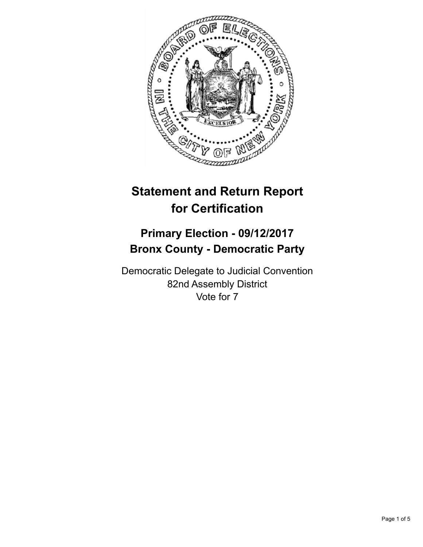

# **Statement and Return Report for Certification**

## **Primary Election - 09/12/2017 Bronx County - Democratic Party**

Democratic Delegate to Judicial Convention 82nd Assembly District Vote for 7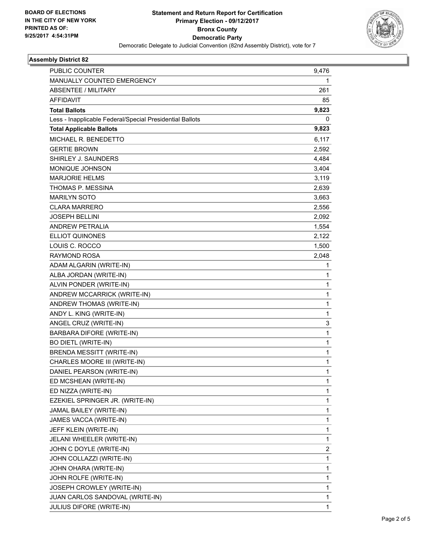

### **Assembly District 82**

| PUBLIC COUNTER                                           | 9,476        |
|----------------------------------------------------------|--------------|
| MANUALLY COUNTED EMERGENCY                               | 1            |
| <b>ABSENTEE / MILITARY</b>                               | 261          |
| <b>AFFIDAVIT</b>                                         | 85           |
| <b>Total Ballots</b>                                     | 9,823        |
| Less - Inapplicable Federal/Special Presidential Ballots | 0            |
| <b>Total Applicable Ballots</b>                          | 9,823        |
| MICHAEL R. BENEDETTO                                     | 6,117        |
| <b>GERTIE BROWN</b>                                      | 2,592        |
| SHIRLEY J. SAUNDERS                                      | 4,484        |
| MONIQUE JOHNSON                                          | 3,404        |
| <b>MARJORIE HELMS</b>                                    | 3,119        |
| THOMAS P. MESSINA                                        | 2,639        |
| <b>MARILYN SOTO</b>                                      | 3,663        |
| <b>CLARA MARRERO</b>                                     | 2,556        |
| <b>JOSEPH BELLINI</b>                                    | 2,092        |
| <b>ANDREW PETRALIA</b>                                   | 1,554        |
| <b>ELLIOT QUINONES</b>                                   | 2,122        |
| LOUIS C. ROCCO                                           | 1,500        |
| <b>RAYMOND ROSA</b>                                      | 2,048        |
| ADAM ALGARIN (WRITE-IN)                                  | 1            |
| ALBA JORDAN (WRITE-IN)                                   | 1            |
| ALVIN PONDER (WRITE-IN)                                  | $\mathbf{1}$ |
| ANDREW MCCARRICK (WRITE-IN)                              | 1            |
| ANDREW THOMAS (WRITE-IN)                                 | 1            |
| ANDY L. KING (WRITE-IN)                                  | $\mathbf{1}$ |
| ANGEL CRUZ (WRITE-IN)                                    | 3            |
| <b>BARBARA DIFORE (WRITE-IN)</b>                         | 1            |
| <b>BO DIETL (WRITE-IN)</b>                               | $\mathbf{1}$ |
| <b>BRENDA MESSITT (WRITE-IN)</b>                         | 1            |
| CHARLES MOORE III (WRITE-IN)                             | 1            |
| DANIEL PEARSON (WRITE-IN)                                | 1            |
| ED MCSHEAN (WRITE-IN)                                    | 1            |
| ED NIZZA (WRITE-IN)                                      | 1            |
| EZEKIEL SPRINGER JR. (WRITE-IN)                          | 1            |
| JAMAL BAILEY (WRITE-IN)                                  | 1            |
| JAMES VACCA (WRITE-IN)                                   | 1            |
| JEFF KLEIN (WRITE-IN)                                    | 1            |
| JELANI WHEELER (WRITE-IN)                                | 1            |
| JOHN C DOYLE (WRITE-IN)                                  | 2            |
| JOHN COLLAZZI (WRITE-IN)                                 | 1            |
| JOHN OHARA (WRITE-IN)                                    | 1            |
| JOHN ROLFE (WRITE-IN)                                    | 1            |
| JOSEPH CROWLEY (WRITE-IN)                                | 1            |
| JUAN CARLOS SANDOVAL (WRITE-IN)                          | 1            |
| JULIUS DIFORE (WRITE-IN)                                 | 1            |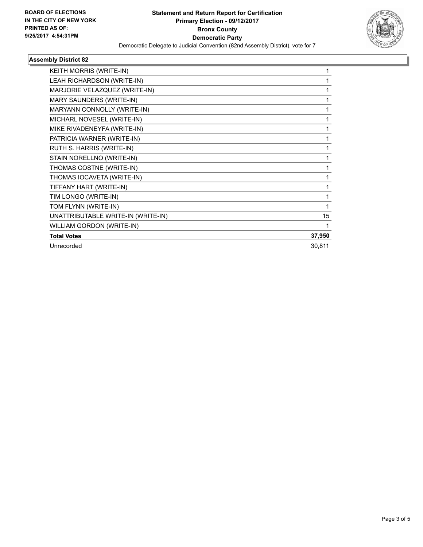

### **Assembly District 82**

| KEITH MORRIS (WRITE-IN)            |        |
|------------------------------------|--------|
| LEAH RICHARDSON (WRITE-IN)         |        |
| MARJORIE VELAZQUEZ (WRITE-IN)      | 1      |
| <b>MARY SAUNDERS (WRITE-IN)</b>    | 1      |
| MARYANN CONNOLLY (WRITE-IN)        |        |
| MICHARL NOVESEL (WRITE-IN)         | 1      |
| MIKE RIVADENEYFA (WRITE-IN)        |        |
| PATRICIA WARNER (WRITE-IN)         |        |
| RUTH S. HARRIS (WRITE-IN)          | 1      |
| STAIN NORELLNO (WRITE-IN)          | 1      |
| THOMAS COSTNE (WRITE-IN)           |        |
| THOMAS IOCAVETA (WRITE-IN)         | 1      |
| TIFFANY HART (WRITE-IN)            | 1      |
| TIM LONGO (WRITE-IN)               |        |
| TOM FLYNN (WRITE-IN)               |        |
| UNATTRIBUTABLE WRITE-IN (WRITE-IN) | 15     |
| WILLIAM GORDON (WRITE-IN)          |        |
| <b>Total Votes</b>                 | 37,950 |
| Unrecorded                         | 30,811 |
|                                    |        |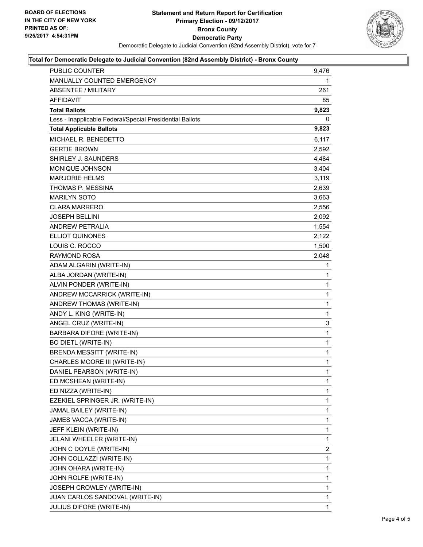

### **Total for Democratic Delegate to Judicial Convention (82nd Assembly District) - Bronx County**

| PUBLIC COUNTER                                           | 9,476        |
|----------------------------------------------------------|--------------|
| MANUALLY COUNTED EMERGENCY                               | 1            |
| <b>ABSENTEE / MILITARY</b>                               | 261          |
| AFFIDAVIT                                                | 85           |
| <b>Total Ballots</b>                                     | 9,823        |
| Less - Inapplicable Federal/Special Presidential Ballots | 0            |
| <b>Total Applicable Ballots</b>                          | 9,823        |
| MICHAEL R. BENEDETTO                                     | 6,117        |
| <b>GERTIE BROWN</b>                                      | 2,592        |
| SHIRLEY J. SAUNDERS                                      | 4,484        |
| MONIQUE JOHNSON                                          | 3,404        |
| <b>MARJORIE HELMS</b>                                    | 3,119        |
| THOMAS P. MESSINA                                        | 2,639        |
| <b>MARILYN SOTO</b>                                      | 3,663        |
| <b>CLARA MARRERO</b>                                     | 2,556        |
| <b>JOSEPH BELLINI</b>                                    | 2,092        |
| <b>ANDREW PETRALIA</b>                                   | 1,554        |
| <b>ELLIOT QUINONES</b>                                   | 2,122        |
| LOUIS C. ROCCO                                           | 1,500        |
| <b>RAYMOND ROSA</b>                                      | 2,048        |
| ADAM ALGARIN (WRITE-IN)                                  | 1            |
| ALBA JORDAN (WRITE-IN)                                   | 1            |
| ALVIN PONDER (WRITE-IN)                                  | $\mathbf{1}$ |
| ANDREW MCCARRICK (WRITE-IN)                              | 1            |
| ANDREW THOMAS (WRITE-IN)                                 | 1            |
| ANDY L. KING (WRITE-IN)                                  | $\mathbf{1}$ |
| ANGEL CRUZ (WRITE-IN)                                    | 3            |
| BARBARA DIFORE (WRITE-IN)                                | $\mathbf{1}$ |
| <b>BO DIETL (WRITE-IN)</b>                               | $\mathbf{1}$ |
| <b>BRENDA MESSITT (WRITE-IN)</b>                         | 1            |
| CHARLES MOORE III (WRITE-IN)                             | 1            |
| DANIEL PEARSON (WRITE-IN)                                | $\mathbf{1}$ |
| ED MCSHEAN (WRITE-IN)                                    | 1            |
| ED NIZZA (WRITE-IN)                                      | 1            |
| EZEKIEL SPRINGER JR. (WRITE-IN)                          | 1            |
| JAMAL BAILEY (WRITE-IN)                                  | 1            |
| JAMES VACCA (WRITE-IN)                                   | 1            |
| JEFF KLEIN (WRITE-IN)                                    | 1            |
| JELANI WHEELER (WRITE-IN)                                | 1            |
| JOHN C DOYLE (WRITE-IN)                                  | 2            |
| JOHN COLLAZZI (WRITE-IN)                                 | 1            |
| JOHN OHARA (WRITE-IN)                                    | 1            |
| JOHN ROLFE (WRITE-IN)                                    | 1            |
| JOSEPH CROWLEY (WRITE-IN)                                | 1            |
| JUAN CARLOS SANDOVAL (WRITE-IN)                          | 1            |
| JULIUS DIFORE (WRITE-IN)                                 | 1            |